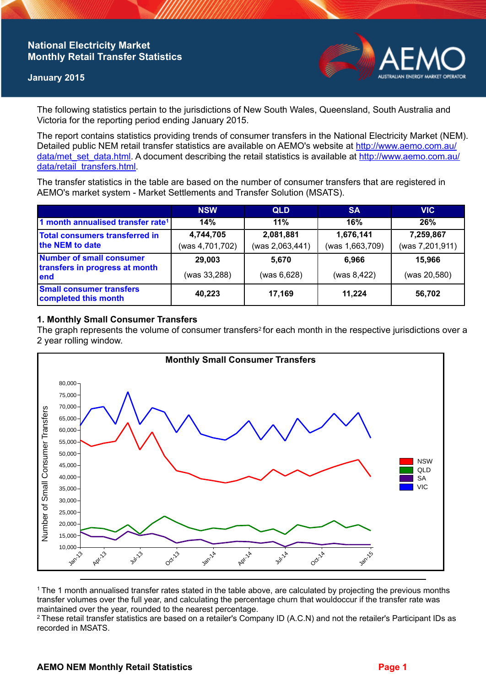# **National Electricity Market Monthly Retail Transfer Statistics**

### **January 2015**



The following statistics pertain to the jurisdictions of New South Wales, Queensland, South Australia and Victoria for the reporting period ending January 2015.

The report contains statistics providing trends of consumer transfers in the National Electricity Market (NEM). Detailed public NEM retail transfer statistics are available on AEMO's website at [http://www.aemo.com.au/](http://www.aemo.com.au/data/met_set_data.html) [data/met\\_set\\_data.html](http://www.aemo.com.au/data/met_set_data.html). A document describing the retail statistics is available at [http://www.aemo.com.au/](http://www.aemo.com.au/data/retail_transfers.html) [data/retail\\_transfers.html](http://www.aemo.com.au/data/retail_transfers.html).

The transfer statistics in the table are based on the number of consumer transfers that are registered in AEMO's market system - Market Settlements and Transfer Solution (MSATS).

|                                                                    | <b>NSW</b>                   | <b>QLD</b>                   | <b>SA</b>                    | <b>VIC</b>                   |
|--------------------------------------------------------------------|------------------------------|------------------------------|------------------------------|------------------------------|
| 1 month annualised transfer rate <sup>1</sup>                      | 14%                          | 11%                          | 16%                          | 26%                          |
| <b>Total consumers transferred in</b><br>the NEM to date           | 4,744,705<br>(was 4,701,702) | 2,081,881<br>(was 2,063,441) | 1,676,141<br>(was 1,663,709) | 7,259,867<br>(was 7,201,911) |
| Number of small consumer<br>transfers in progress at month<br>lend | 29,003                       | 5.670                        | 6.966                        | 15,966                       |
|                                                                    | (was 33,288)                 | (was 6,628)                  | (was 8,422)                  | (was 20,580)                 |
| <b>Small consumer transfers</b><br>completed this month            | 40,223                       | 17,169                       | 11,224                       | 56,702                       |

## **1. Monthly Small Consumer Transfers**

The graph represents the volume of consumer transfers<sup>2</sup> for each month in the respective jurisdictions over a 2 year rolling window.



<sup>1</sup>The 1 month annualised transfer rates stated in the table above, are calculated by projecting the previous months transfer volumes over the full year, and calculating the percentage churn that wouldoccur if the transfer rate was maintained over the year, rounded to the nearest percentage.

<sup>2</sup> These retail transfer statistics are based on a retailer's Company ID (A.C.N) and not the retailer's Participant IDs as recorded in MSATS.